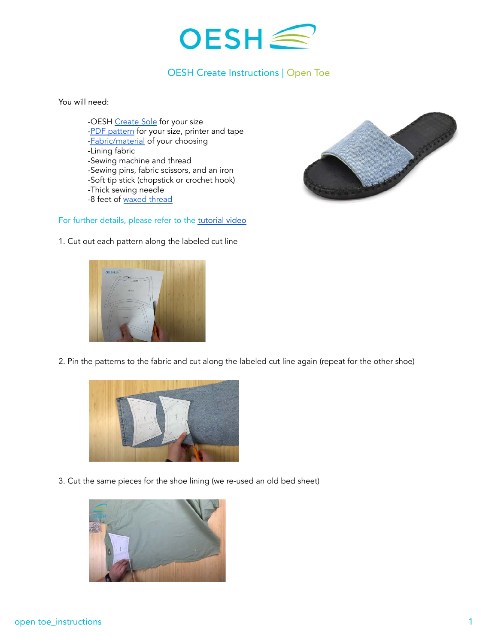

## OESH Create Instructions | Open Toe

You will need:

-OESH [Create Sole](https://oeshshoes.com/product/create-soles/) for your size [-PDF pattern](http://ftpri2o23ns3wj8ke46t9tum-wpengine.netdna-ssl.com/wp-content/uploads/2021/06/open-toe-patterns_reduced.pdf) for your size, printer and tape [-Fabric/material](https://oeshshoes.com/create/oesh-create-materials/) of your choosing -Lining fabric -Sewing machine and thread -Sewing pins, fabric scissors, and an iron -Soft tip stick (chopstick or crochet hook) -Thick sewing needle -8 feet of [waxed thread](https://www.amazon.com/Leather-Sewing-Thread-Stitching-String/dp/B06XKP9KFJ?th=1)

## For further details, please refer to the [tutorial video](https://youtu.be/3a4wCB7p1zg)



1. Cut out each pattern along the labeled cut line



2. Pin the patterns to the fabric and cut along the labeled cut line again (repeat for the other shoe)



3. Cut the same pieces for the shoe lining (we re-used an old bed sheet)

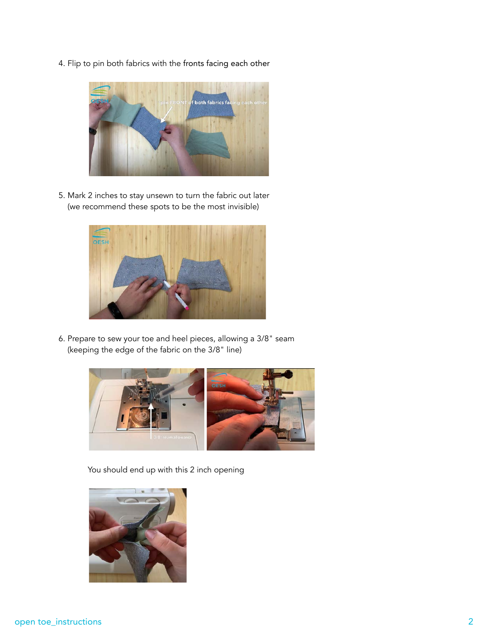4. Flip to pin both fabrics with the fronts facing each other



5. Mark 2 inches to stay unsewn to turn the fabric out later (we recommend these spots to be the most invisible)



6. Prepare to sew your toe and heel pieces, allowing a 3/8" seam (keeping the edge of the fabric on the 3/8" line)



You should end up with this 2 inch opening

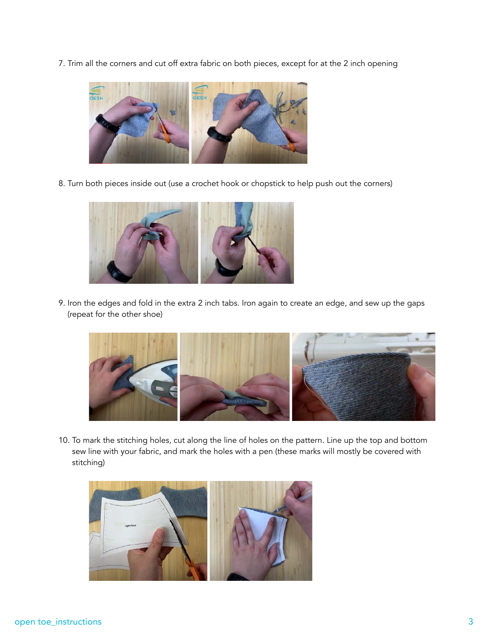7. Trim all the corners and cut off extra fabric on both pieces, except for at the 2 inch opening



8. Turn both pieces inside out (use a crochet hook or chopstick to help push out the corners)



9. Iron the edges and fold in the extra 2 inch tabs. Iron again to create an edge, and sew up the gaps (repeat for the other shoe)



10. To mark the stitching holes, cut along the line of holes on the pattern. Line up the top and bottom sew line with your fabric, and mark the holes with a pen (these marks will mostly be covered with stitching)

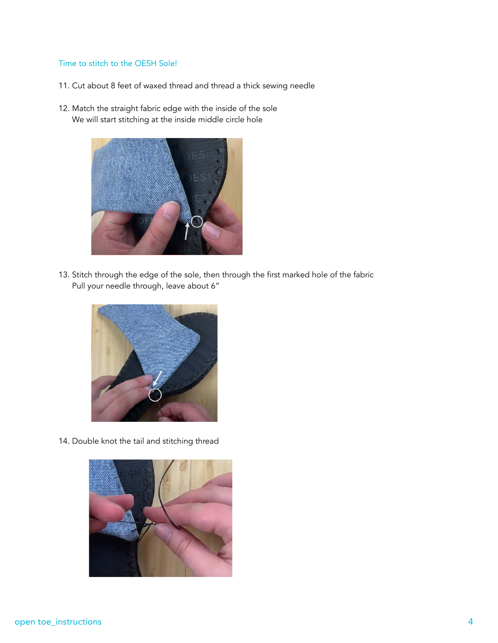## Time to stitch to the OESH Sole!

- 11. Cut about 8 feet of waxed thread and thread a thick sewing needle
- 12. Match the straight fabric edge with the inside of the sole We will start stitching at the inside middle circle hole

![](_page_3_Picture_3.jpeg)

13. Stitch through the edge of the sole, then through the first marked hole of the fabric Pull your needle through, leave about 6"

![](_page_3_Picture_5.jpeg)

14. Double knot the tail and stitching thread

![](_page_3_Picture_7.jpeg)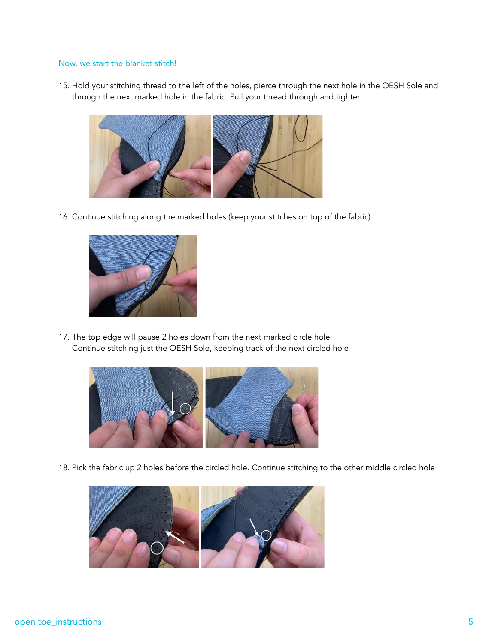## Now, we start the blanket stitch!

15. Hold your stitching thread to the left of the holes, pierce through the next hole in the OESH Sole and through the next marked hole in the fabric. Pull your thread through and tighten

![](_page_4_Picture_2.jpeg)

16. Continue stitching along the marked holes (keep your stitches on top of the fabric)

![](_page_4_Picture_4.jpeg)

17. The top edge will pause 2 holes down from the next marked circle hole Continue stitching just the OESH Sole, keeping track of the next circled hole

![](_page_4_Picture_6.jpeg)

18. Pick the fabric up 2 holes before the circled hole. Continue stitching to the other middle circled hole

![](_page_4_Picture_8.jpeg)